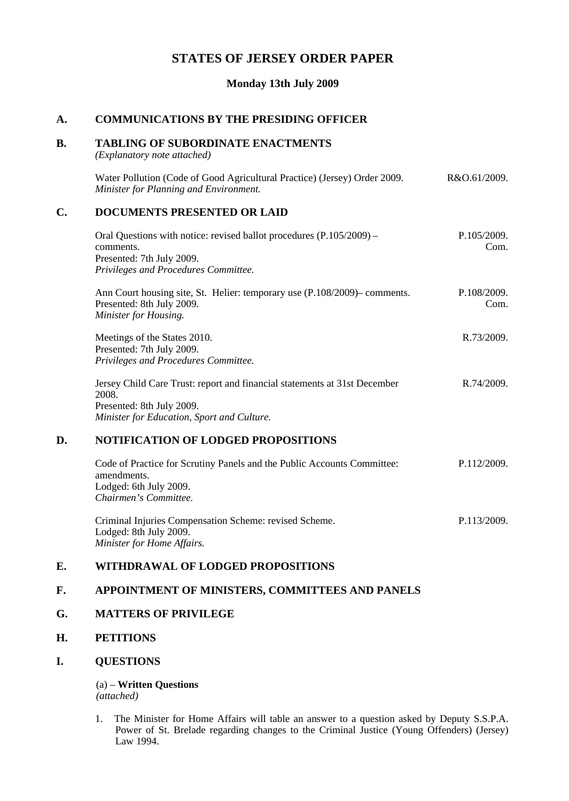# **STATES OF JERSEY ORDER PAPER**

### **Monday 13th July 2009**

# **A. COMMUNICATIONS BY THE PRESIDING OFFICER**

## **B. TABLING OF SUBORDINATE ENACTMENTS**

*(Explanatory note attached)*

Water Pollution (Code of Good Agricultural Practice) (Jersey) Order 2009. *Minister for Planning and Environment.* R&O.61/2009.

## **C. DOCUMENTS PRESENTED OR LAID**

| Oral Questions with notice: revised ballot procedures $(P.105/2009)$ –    | P.105/2009. |
|---------------------------------------------------------------------------|-------------|
| comments.                                                                 | Com.        |
| Presented: 7th July 2009.                                                 |             |
| Privileges and Procedures Committee.                                      |             |
| Ann Court housing site, St. Helier: temporary use (P.108/2009)– comments. | P.108/2009. |

Ann Court housing site, St. Helier: temporary use (P.108/2009) – comments. Presented: 8th July 2009. *Minister for Housing.* Com.

R.73/2009.

P.113/2009.

Meetings of the States 2010. Presented: 7th July 2009. *Privileges and Procedures Committee.*

Jersey Child Care Trust: report and financial statements at 31st December 2008. Presented: 8th July 2009. *Minister for Education, Sport and Culture.* R.74/2009.

# **D. NOTIFICATION OF LODGED PROPOSITIONS**

| Code of Practice for Scrutiny Panels and the Public Accounts Committee: | P.112/2009. |
|-------------------------------------------------------------------------|-------------|
| amendments.                                                             |             |
| Lodged: 6th July 2009.                                                  |             |
| Chairmen's Committee.                                                   |             |
|                                                                         |             |

Criminal Injuries Compensation Scheme: revised Scheme. Lodged: 8th July 2009. *Minister for Home Affairs.*

# **E. WITHDRAWAL OF LODGED PROPOSITIONS**

#### **F. APPOINTMENT OF MINISTERS, COMMITTEES AND PANELS**

#### **G. MATTERS OF PRIVILEGE**

# **H. PETITIONS**

## **I. QUESTIONS**

(a) – **Written Questions** *(attached)*

1. The Minister for Home Affairs will table an answer to a question asked by Deputy S.S.P.A. Power of St. Brelade regarding changes to the Criminal Justice (Young Offenders) (Jersey) Law 1994.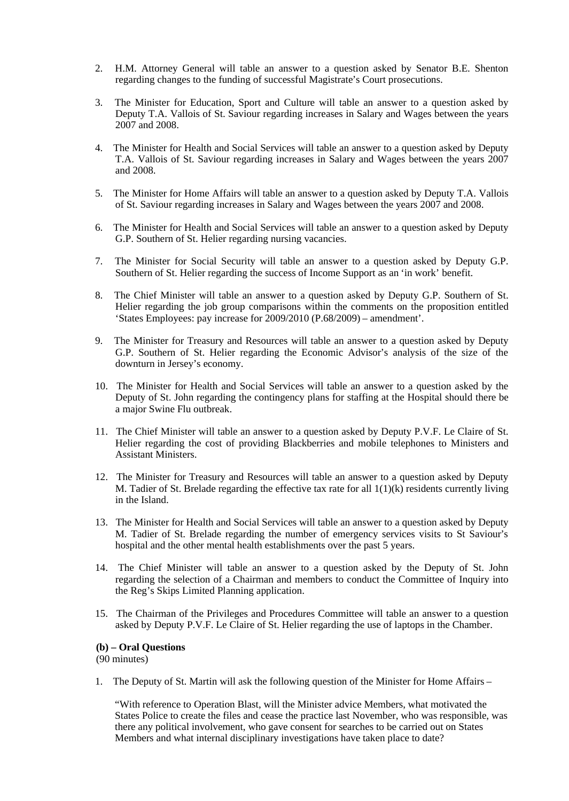- 2. H.M. Attorney General will table an answer to a question asked by Senator B.E. Shenton regarding changes to the funding of successful Magistrate's Court prosecutions.
- 3. The Minister for Education, Sport and Culture will table an answer to a question asked by Deputy T.A. Vallois of St. Saviour regarding increases in Salary and Wages between the years 2007 and 2008.
- 4. The Minister for Health and Social Services will table an answer to a question asked by Deputy T.A. Vallois of St. Saviour regarding increases in Salary and Wages between the years 2007 and 2008.
- 5. The Minister for Home Affairs will table an answer to a question asked by Deputy T.A. Vallois of St. Saviour regarding increases in Salary and Wages between the years 2007 and 2008.
- 6. The Minister for Health and Social Services will table an answer to a question asked by Deputy G.P. Southern of St. Helier regarding nursing vacancies.
- 7. The Minister for Social Security will table an answer to a question asked by Deputy G.P. Southern of St. Helier regarding the success of Income Support as an 'in work' benefit.
- 8. The Chief Minister will table an answer to a question asked by Deputy G.P. Southern of St. Helier regarding the job group comparisons within the comments on the proposition entitled 'States Employees: pay increase for 2009/2010 (P.68/2009) – amendment'.
- 9. The Minister for Treasury and Resources will table an answer to a question asked by Deputy G.P. Southern of St. Helier regarding the Economic Advisor's analysis of the size of the downturn in Jersey's economy.
- 10. The Minister for Health and Social Services will table an answer to a question asked by the Deputy of St. John regarding the contingency plans for staffing at the Hospital should there be a major Swine Flu outbreak.
- 11. The Chief Minister will table an answer to a question asked by Deputy P.V.F. Le Claire of St. Helier regarding the cost of providing Blackberries and mobile telephones to Ministers and Assistant Ministers.
- 12. The Minister for Treasury and Resources will table an answer to a question asked by Deputy M. Tadier of St. Brelade regarding the effective tax rate for all  $1(1)(k)$  residents currently living in the Island.
- 13. The Minister for Health and Social Services will table an answer to a question asked by Deputy M. Tadier of St. Brelade regarding the number of emergency services visits to St Saviour's hospital and the other mental health establishments over the past 5 years.
- 14. The Chief Minister will table an answer to a question asked by the Deputy of St. John regarding the selection of a Chairman and members to conduct the Committee of Inquiry into the Reg's Skips Limited Planning application.
- 15. The Chairman of the Privileges and Procedures Committee will table an answer to a question asked by Deputy P.V.F. Le Claire of St. Helier regarding the use of laptops in the Chamber.

#### **(b) – Oral Questions**

(90 minutes)

1. The Deputy of St. Martin will ask the following question of the Minister for Home Affairs –

"With reference to Operation Blast, will the Minister advice Members, what motivated the States Police to create the files and cease the practice last November, who was responsible, was there any political involvement, who gave consent for searches to be carried out on States Members and what internal disciplinary investigations have taken place to date?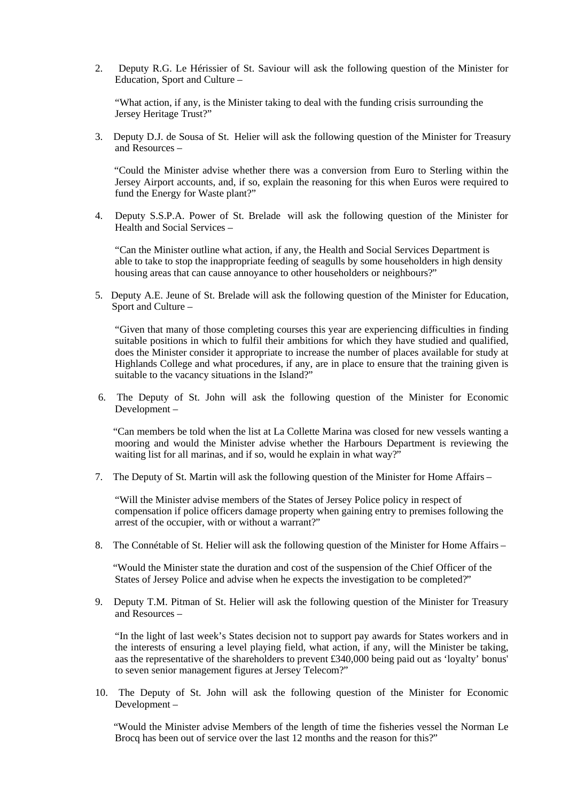2. Deputy R.G. Le Hérissier of St. Saviour will ask the following question of the Minister for Education, Sport and Culture –

"What action, if any, is the Minister taking to deal with the funding crisis surrounding the Jersey Heritage Trust?"

3. Deputy D.J. de Sousa of St. Helier will ask the following question of the Minister for Treasury and Resources –

 "Could the Minister advise whether there was a conversion from Euro to Sterling within the Jersey Airport accounts, and, if so, explain the reasoning for this when Euros were required to fund the Energy for Waste plant?"

4. Deputy S.S.P.A. Power of St. Brelade will ask the following question of the Minister for Health and Social Services –

"Can the Minister outline what action, if any, the Health and Social Services Department is able to take to stop the inappropriate feeding of seagulls by some householders in high density housing areas that can cause annoyance to other householders or neighbours?"

5. Deputy A.E. Jeune of St. Brelade will ask the following question of the Minister for Education, Sport and Culture –

"Given that many of those completing courses this year are experiencing difficulties in finding suitable positions in which to fulfil their ambitions for which they have studied and qualified, does the Minister consider it appropriate to increase the number of places available for study at Highlands College and what procedures, if any, are in place to ensure that the training given is suitable to the vacancy situations in the Island?"

6. The Deputy of St. John will ask the following question of the Minister for Economic Development –

 "Can members be told when the list at La Collette Marina was closed for new vessels wanting a mooring and would the Minister advise whether the Harbours Department is reviewing the waiting list for all marinas, and if so, would he explain in what way?"

7. The Deputy of St. Martin will ask the following question of the Minister for Home Affairs –

"Will the Minister advise members of the States of Jersey Police policy in respect of compensation if police officers damage property when gaining entry to premises following the arrest of the occupier, with or without a warrant?"

8. The Connétable of St. Helier will ask the following question of the Minister for Home Affairs –

 "Would the Minister state the duration and cost of the suspension of the Chief Officer of the States of Jersey Police and advise when he expects the investigation to be completed?"

9. Deputy T.M. Pitman of St. Helier will ask the following question of the Minister for Treasury and Resources –

"In the light of last week's States decision not to support pay awards for States workers and in the interests of ensuring a level playing field, what action, if any, will the Minister be taking, aas the representative of the shareholders to prevent £340,000 being paid out as 'loyalty' bonus' to seven senior management figures at Jersey Telecom?"

10. The Deputy of St. John will ask the following question of the Minister for Economic Development –

 "Would the Minister advise Members of the length of time the fisheries vessel the Norman Le Brocq has been out of service over the last 12 months and the reason for this?"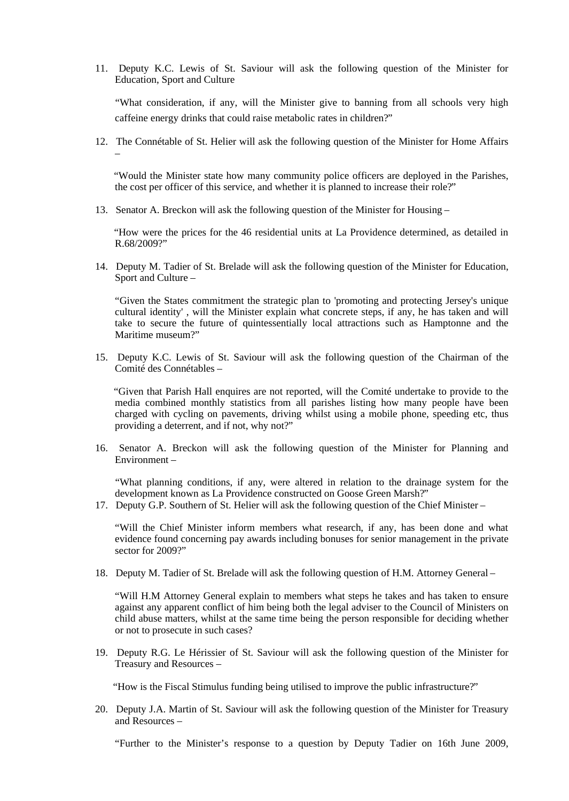11. Deputy K.C. Lewis of St. Saviour will ask the following question of the Minister for Education, Sport and Culture

 "What consideration, if any, will the Minister give to banning from all schools very high caffeine energy drinks that could raise metabolic rates in children?"

12. The Connétable of St. Helier will ask the following question of the Minister for Home Affairs –

 "Would the Minister state how many community police officers are deployed in the Parishes, the cost per officer of this service, and whether it is planned to increase their role?"

13. Senator A. Breckon will ask the following question of the Minister for Housing –

 "How were the prices for the 46 residential units at La Providence determined, as detailed in R.68/2009?"

14. Deputy M. Tadier of St. Brelade will ask the following question of the Minister for Education, Sport and Culture –

"Given the States commitment the strategic plan to 'promoting and protecting Jersey's unique cultural identity' , will the Minister explain what concrete steps, if any, he has taken and will take to secure the future of quintessentially local attractions such as Hamptonne and the Maritime museum?"

15. Deputy K.C. Lewis of St. Saviour will ask the following question of the Chairman of the Comité des Connétables –

 "Given that Parish Hall enquires are not reported, will the Comité undertake to provide to the media combined monthly statistics from all parishes listing how many people have been charged with cycling on pavements, driving whilst using a mobile phone, speeding etc, thus providing a deterrent, and if not, why not?"

16. Senator A. Breckon will ask the following question of the Minister for Planning and Environment –

 "What planning conditions, if any, were altered in relation to the drainage system for the development known as La Providence constructed on Goose Green Marsh?"

17. Deputy G.P. Southern of St. Helier will ask the following question of the Chief Minister –

"Will the Chief Minister inform members what research, if any, has been done and what evidence found concerning pay awards including bonuses for senior management in the private sector for 2009?"

18. Deputy M. Tadier of St. Brelade will ask the following question of H.M. Attorney General –

"Will H.M Attorney General explain to members what steps he takes and has taken to ensure against any apparent conflict of him being both the legal adviser to the Council of Ministers on child abuse matters, whilst at the same time being the person responsible for deciding whether or not to prosecute in such cases?

19. Deputy R.G. Le Hérissier of St. Saviour will ask the following question of the Minister for Treasury and Resources –

"How is the Fiscal Stimulus funding being utilised to improve the public infrastructure?"

20. Deputy J.A. Martin of St. Saviour will ask the following question of the Minister for Treasury and Resources –

"Further to the Minister's response to a question by Deputy Tadier on 16th June 2009,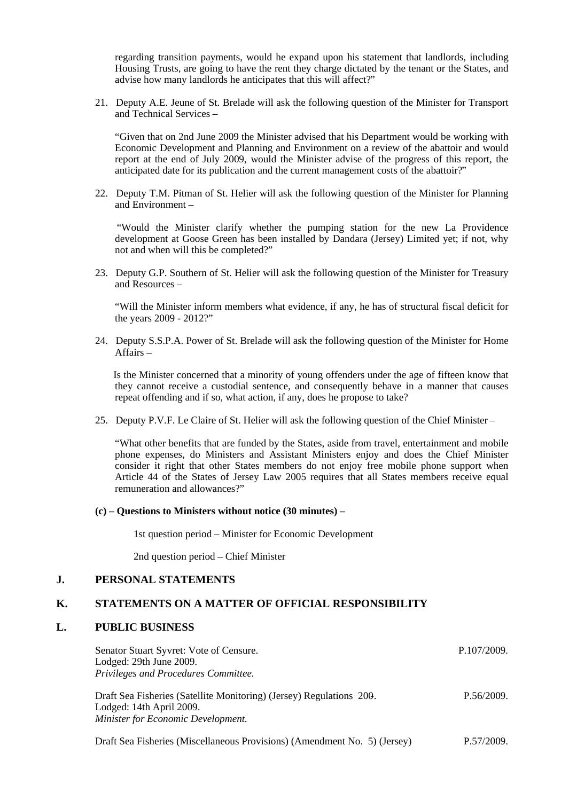regarding transition payments, would he expand upon his statement that landlords, including Housing Trusts, are going to have the rent they charge dictated by the tenant or the States, and advise how many landlords he anticipates that this will affect?"

21. Deputy A.E. Jeune of St. Brelade will ask the following question of the Minister for Transport and Technical Services –

"Given that on 2nd June 2009 the Minister advised that his Department would be working with Economic Development and Planning and Environment on a review of the abattoir and would report at the end of July 2009, would the Minister advise of the progress of this report, the anticipated date for its publication and the current management costs of the abattoir?"

22. Deputy T.M. Pitman of St. Helier will ask the following question of the Minister for Planning and Environment –

 "Would the Minister clarify whether the pumping station for the new La Providence development at Goose Green has been installed by Dandara (Jersey) Limited yet; if not, why not and when will this be completed?"

23. Deputy G.P. Southern of St. Helier will ask the following question of the Minister for Treasury and Resources –

"Will the Minister inform members what evidence, if any, he has of structural fiscal deficit for the years 2009 - 2012?"

24. Deputy S.S.P.A. Power of St. Brelade will ask the following question of the Minister for Home Affairs –

 Is the Minister concerned that a minority of young offenders under the age of fifteen know that they cannot receive a custodial sentence, and consequently behave in a manner that causes repeat offending and if so, what action, if any, does he propose to take?

25. Deputy P.V.F. Le Claire of St. Helier will ask the following question of the Chief Minister –

"What other benefits that are funded by the States, aside from travel, entertainment and mobile phone expenses, do Ministers and Assistant Ministers enjoy and does the Chief Minister consider it right that other States members do not enjoy free mobile phone support when Article 44 of the States of Jersey Law 2005 requires that all States members receive equal remuneration and allowances?"

#### **(c) – Questions to Ministers without notice (30 minutes) –**

1st question period – Minister for Economic Development

2nd question period – Chief Minister

#### **J. PERSONAL STATEMENTS**

#### **K. STATEMENTS ON A MATTER OF OFFICIAL RESPONSIBILITY**

#### **L. PUBLIC BUSINESS**

| Senator Stuart Syvret: Vote of Censure.<br>Lodged: 29th June 2009.<br>Privileges and Procedures Committee.                             | P.107/2009. |
|----------------------------------------------------------------------------------------------------------------------------------------|-------------|
| Draft Sea Fisheries (Satellite Monitoring) (Jersey) Regulations 200.<br>Lodged: 14th April 2009.<br>Minister for Economic Development. | P.56/2009.  |

Draft Sea Fisheries (Miscellaneous Provisions) (Amendment No. 5) (Jersey) P.57/2009.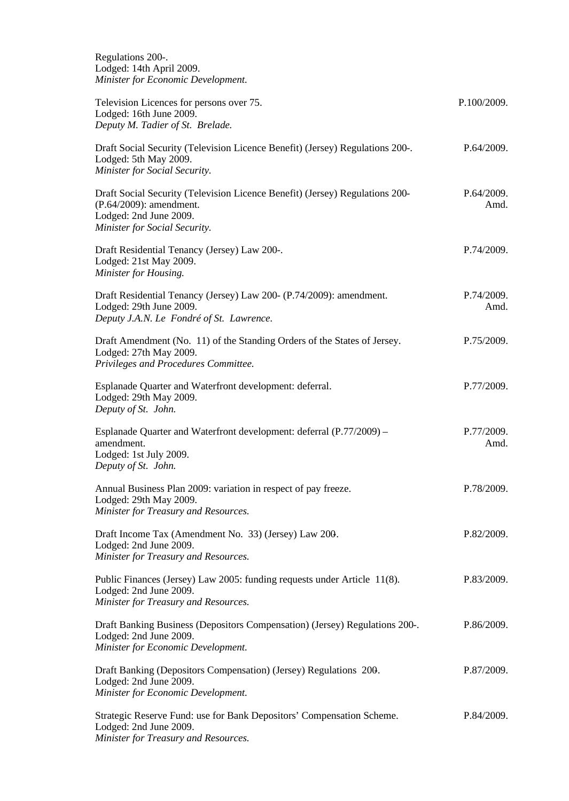| Regulations 200-.<br>Lodged: 14th April 2009.<br>Minister for Economic Development.                                                                                |                    |
|--------------------------------------------------------------------------------------------------------------------------------------------------------------------|--------------------|
| Television Licences for persons over 75.<br>Lodged: 16th June 2009.<br>Deputy M. Tadier of St. Brelade.                                                            | P.100/2009.        |
| Draft Social Security (Television Licence Benefit) (Jersey) Regulations 200-.<br>Lodged: 5th May 2009.<br>Minister for Social Security.                            | P.64/2009.         |
| Draft Social Security (Television Licence Benefit) (Jersey) Regulations 200-<br>(P.64/2009): amendment.<br>Lodged: 2nd June 2009.<br>Minister for Social Security. | P.64/2009.<br>Amd. |
| Draft Residential Tenancy (Jersey) Law 200-.<br>Lodged: 21st May 2009.<br>Minister for Housing.                                                                    | P.74/2009.         |
| Draft Residential Tenancy (Jersey) Law 200- (P.74/2009): amendment.<br>Lodged: 29th June 2009.<br>Deputy J.A.N. Le Fondré of St. Lawrence.                         | P.74/2009.<br>Amd. |
| Draft Amendment (No. 11) of the Standing Orders of the States of Jersey.<br>Lodged: 27th May 2009.<br>Privileges and Procedures Committee.                         | P.75/2009.         |
| Esplanade Quarter and Waterfront development: deferral.<br>Lodged: 29th May 2009.<br>Deputy of St. John.                                                           | P.77/2009.         |
| Esplanade Quarter and Waterfront development: deferral (P.77/2009) –<br>amendment.<br>Lodged: 1st July 2009.<br>Deputy of St. John.                                | P.77/2009.<br>Amd. |
| Annual Business Plan 2009: variation in respect of pay freeze.<br>Lodged: 29th May 2009.<br>Minister for Treasury and Resources.                                   | P.78/2009.         |
| Draft Income Tax (Amendment No. 33) (Jersey) Law 200.<br>Lodged: 2nd June 2009.<br>Minister for Treasury and Resources.                                            | P.82/2009.         |
| Public Finances (Jersey) Law 2005: funding requests under Article 11(8).<br>Lodged: 2nd June 2009.<br>Minister for Treasury and Resources.                         | P.83/2009.         |
| Draft Banking Business (Depositors Compensation) (Jersey) Regulations 200-.<br>Lodged: 2nd June 2009.<br>Minister for Economic Development.                        | P.86/2009.         |
| Draft Banking (Depositors Compensation) (Jersey) Regulations 200.<br>Lodged: 2nd June 2009.<br>Minister for Economic Development.                                  | P.87/2009.         |
| Strategic Reserve Fund: use for Bank Depositors' Compensation Scheme.<br>Lodged: 2nd June 2009.<br>Minister for Treasury and Resources.                            | P.84/2009.         |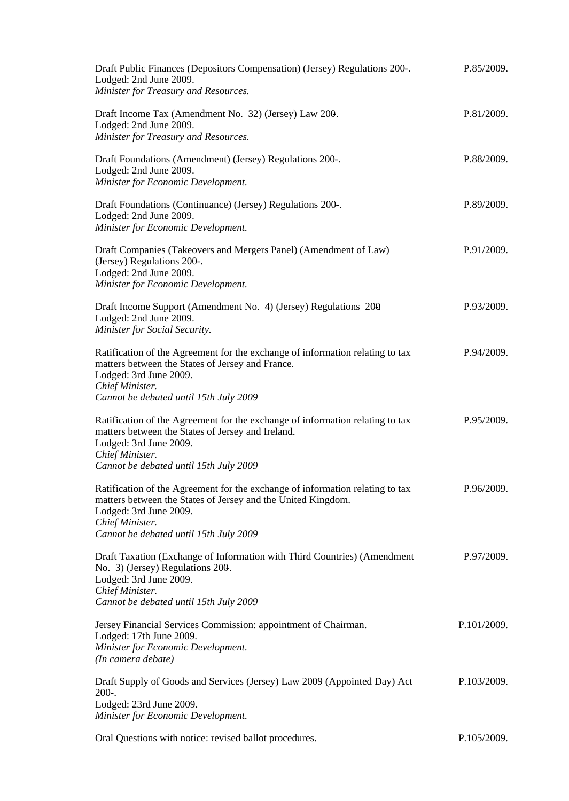| Draft Public Finances (Depositors Compensation) (Jersey) Regulations 200-.<br>Lodged: 2nd June 2009.<br>Minister for Treasury and Resources.                                                                                                                        | P.85/2009.  |
|---------------------------------------------------------------------------------------------------------------------------------------------------------------------------------------------------------------------------------------------------------------------|-------------|
| Draft Income Tax (Amendment No. 32) (Jersey) Law 200.<br>Lodged: 2nd June 2009.<br>Minister for Treasury and Resources.                                                                                                                                             | P.81/2009.  |
| Draft Foundations (Amendment) (Jersey) Regulations 200-.<br>Lodged: 2nd June 2009.<br>Minister for Economic Development.                                                                                                                                            | P.88/2009.  |
| Draft Foundations (Continuance) (Jersey) Regulations 200-.<br>Lodged: 2nd June 2009.<br>Minister for Economic Development.                                                                                                                                          | P.89/2009.  |
| Draft Companies (Takeovers and Mergers Panel) (Amendment of Law)<br>(Jersey) Regulations 200-.<br>Lodged: 2nd June 2009.<br>Minister for Economic Development.                                                                                                      | P.91/2009.  |
| Draft Income Support (Amendment No. 4) (Jersey) Regulations 200<br>Lodged: 2nd June 2009.<br>Minister for Social Security.                                                                                                                                          | P.93/2009.  |
| Ratification of the Agreement for the exchange of information relating to tax<br>matters between the States of Jersey and France.<br>Lodged: 3rd June 2009.<br>Chief Minister.                                                                                      | P.94/2009.  |
| Cannot be debated until 15th July 2009<br>Ratification of the Agreement for the exchange of information relating to tax<br>matters between the States of Jersey and Ireland.<br>Lodged: 3rd June 2009.<br>Chief Minister.<br>Cannot be debated until 15th July 2009 | P.95/2009.  |
| Ratification of the Agreement for the exchange of information relating to tax<br>matters between the States of Jersey and the United Kingdom.<br>Lodged: 3rd June 2009.<br>Chief Minister.<br>Cannot be debated until 15th July 2009                                | P.96/2009.  |
| Draft Taxation (Exchange of Information with Third Countries) (Amendment<br>No. 3) (Jersey) Regulations 200.<br>Lodged: 3rd June 2009.<br>Chief Minister.<br>Cannot be debated until 15th July 2009                                                                 | P.97/2009.  |
| Jersey Financial Services Commission: appointment of Chairman.<br>Lodged: 17th June 2009.<br>Minister for Economic Development.<br>(In camera debate)                                                                                                               | P.101/2009. |
| Draft Supply of Goods and Services (Jersey) Law 2009 (Appointed Day) Act<br>$200-.$<br>Lodged: 23rd June 2009.<br>Minister for Economic Development.                                                                                                                | P.103/2009. |
| Oral Questions with notice: revised ballot procedures.                                                                                                                                                                                                              | P.105/2009. |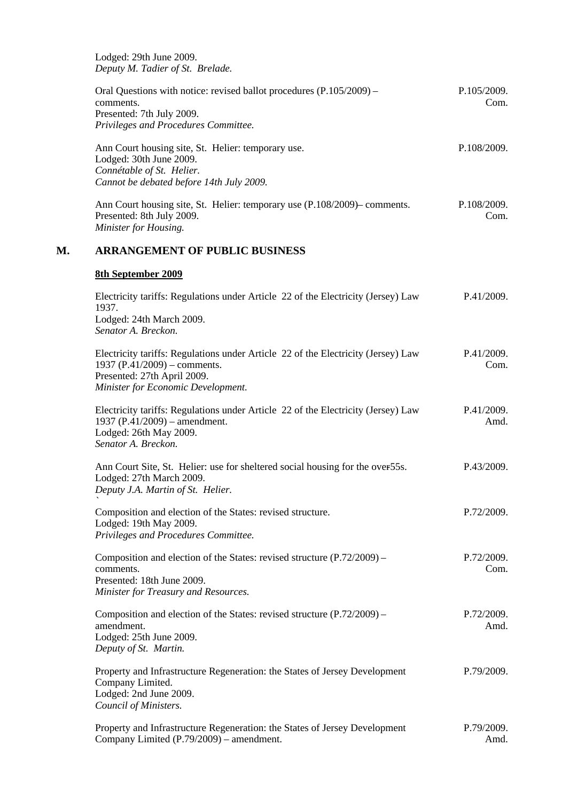Lodged: 29th June 2009. *Deputy M. Tadier of St. Brelade.*

| Oral Questions with notice: revised ballot procedures $(P.105/2009)$ – | P.105/2009. |
|------------------------------------------------------------------------|-------------|
| comments.                                                              | Com.        |
| Presented: 7th July 2009.                                              |             |
| Privileges and Procedures Committee.                                   |             |
|                                                                        | . <i>.</i>  |

Ann Court housing site, St. Helier: temporary use. Lodged: 30th June 2009. *Connétable of St. Helier. Cannot be debated before 14th July 2009.* P.108/2009.

Ann Court housing site, St. Helier: temporary use (P.108/2009) – comments. Presented: 8th July 2009. *Minister for Housing.* P.108/2009. Com.

# **M. ARRANGEMENT OF PUBLIC BUSINESS**

Company Limited (P.79/2009) – amendment.

#### **8th September 2009**

| Electricity tariffs: Regulations under Article 22 of the Electricity (Jersey) Law<br>1937.<br>Lodged: 24th March 2009.<br>Senator A. Breckon.                                          | P.41/2009.         |
|----------------------------------------------------------------------------------------------------------------------------------------------------------------------------------------|--------------------|
| Electricity tariffs: Regulations under Article 22 of the Electricity (Jersey) Law<br>1937 (P.41/2009) – comments.<br>Presented: 27th April 2009.<br>Minister for Economic Development. | P.41/2009.<br>Com. |
| Electricity tariffs: Regulations under Article 22 of the Electricity (Jersey) Law<br>1937 (P.41/2009) – amendment.<br>Lodged: 26th May 2009.<br>Senator A. Breckon.                    | P.41/2009.<br>Amd. |
| Ann Court Site, St. Helier: use for sheltered social housing for the over 55s.<br>Lodged: 27th March 2009.<br>Deputy J.A. Martin of St. Helier.                                        | P.43/2009.         |
| Composition and election of the States: revised structure.<br>Lodged: 19th May 2009.<br>Privileges and Procedures Committee.                                                           | P.72/2009.         |
| Composition and election of the States: revised structure (P.72/2009) –<br>comments.<br>Presented: 18th June 2009.<br>Minister for Treasury and Resources.                             | P.72/2009.<br>Com. |
| Composition and election of the States: revised structure (P.72/2009) –<br>amendment.<br>Lodged: 25th June 2009.<br>Deputy of St. Martin.                                              | P.72/2009.<br>Amd. |
| Property and Infrastructure Regeneration: the States of Jersey Development<br>Company Limited.<br>Lodged: 2nd June 2009.<br>Council of Ministers.                                      | P.79/2009.         |
| Property and Infrastructure Regeneration: the States of Jersey Development                                                                                                             | P.79/2009.         |

Amd.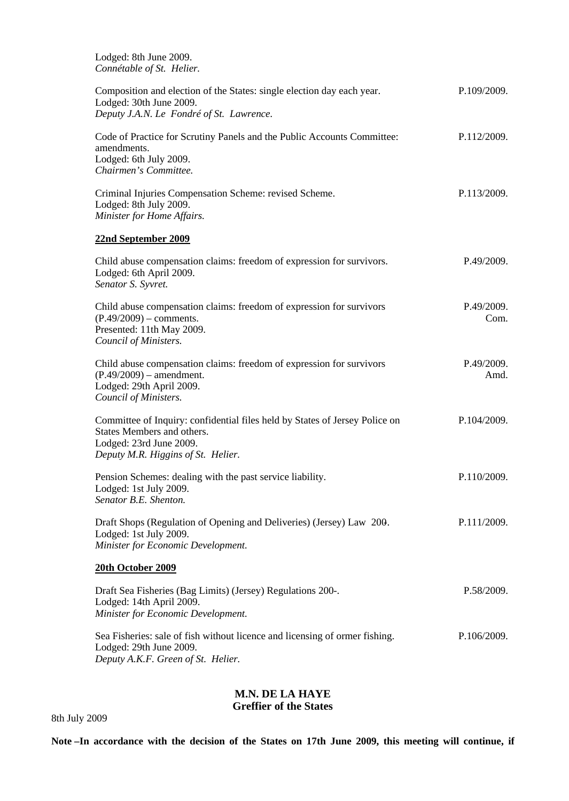| Lodged: 8th June 2009.<br>Connétable of St. Helier.                                                                                                                        |                    |
|----------------------------------------------------------------------------------------------------------------------------------------------------------------------------|--------------------|
| Composition and election of the States: single election day each year.<br>Lodged: 30th June 2009.<br>Deputy J.A.N. Le Fondré of St. Lawrence.                              | P.109/2009.        |
| Code of Practice for Scrutiny Panels and the Public Accounts Committee:<br>amendments.<br>Lodged: 6th July 2009.<br>Chairmen's Committee.                                  | P.112/2009.        |
| Criminal Injuries Compensation Scheme: revised Scheme.<br>Lodged: 8th July 2009.<br>Minister for Home Affairs.                                                             | P.113/2009.        |
| 22nd September 2009                                                                                                                                                        |                    |
| Child abuse compensation claims: freedom of expression for survivors.<br>Lodged: 6th April 2009.<br>Senator S. Syvret.                                                     | P.49/2009.         |
| Child abuse compensation claims: freedom of expression for survivors<br>$(P.49/2009)$ – comments.<br>Presented: 11th May 2009.<br>Council of Ministers.                    | P.49/2009.<br>Com. |
| Child abuse compensation claims: freedom of expression for survivors<br>$(P.49/2009)$ – amendment.<br>Lodged: 29th April 2009.<br>Council of Ministers.                    | P.49/2009.<br>Amd. |
| Committee of Inquiry: confidential files held by States of Jersey Police on<br>States Members and others.<br>Lodged: 23rd June 2009.<br>Deputy M.R. Higgins of St. Helier. | P.104/2009.        |
| Pension Schemes: dealing with the past service liability.<br>Lodged: 1st July 2009.<br>Senator B.E. Shenton.                                                               | P.110/2009.        |
| Draft Shops (Regulation of Opening and Deliveries) (Jersey) Law 200.<br>Lodged: 1st July 2009.<br>Minister for Economic Development.                                       | P.111/2009.        |
| 20th October 2009                                                                                                                                                          |                    |
| Draft Sea Fisheries (Bag Limits) (Jersey) Regulations 200-.<br>Lodged: 14th April 2009.<br>Minister for Economic Development.                                              | P.58/2009.         |
| Sea Fisheries: sale of fish without licence and licensing of ormer fishing.<br>Lodged: 29th June 2009.<br>Deputy A.K.F. Green of St. Helier.                               | P.106/2009.        |

# **M.N. DE LA HAYE Greffier of the States**

**Note –In accordance with the decision of the States on 17th June 2009, this meeting will continue, if**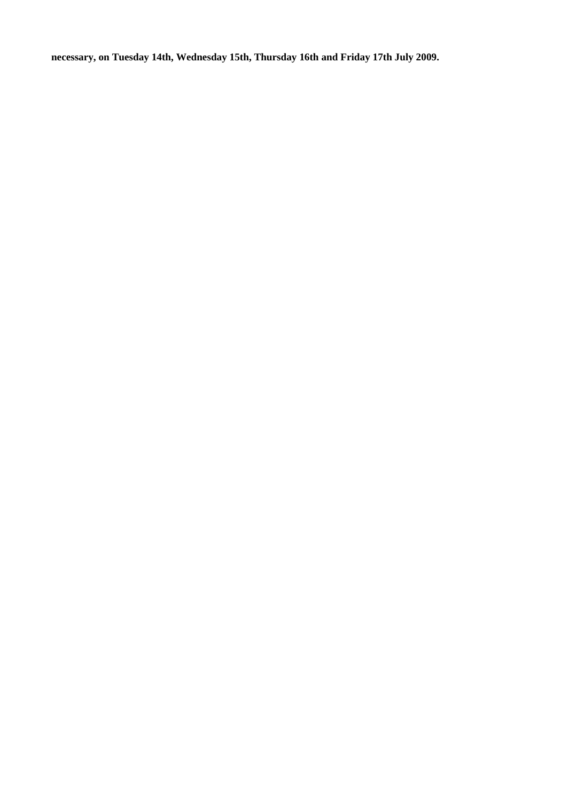**necessary, on Tuesday 14th, Wednesday 15th, Thursday 16th and Friday 17th July 2009.**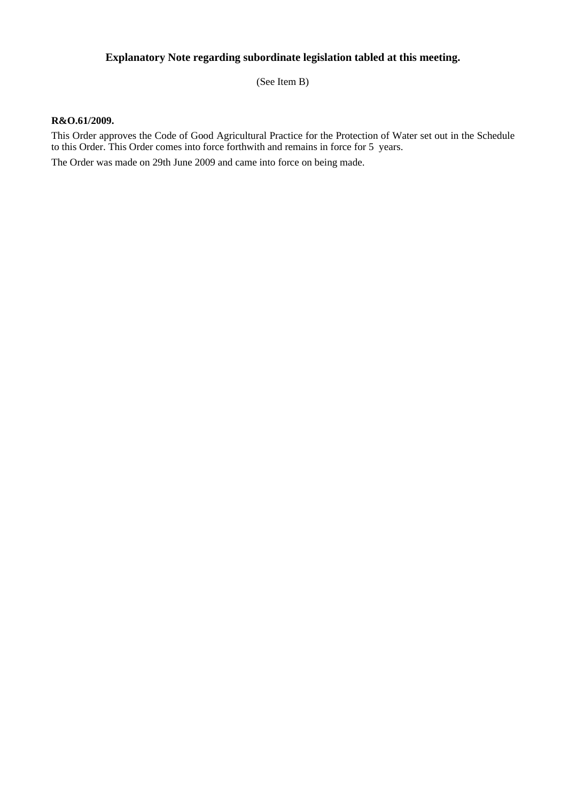# **Explanatory Note regarding subordinate legislation tabled at this meeting.**

(See Item B)

#### **R&O.61/2009.**

This Order approves the Code of Good Agricultural Practice for the Protection of Water set out in the Schedule to this Order. This Order comes into force forthwith and remains in force for 5 years.

The Order was made on 29th June 2009 and came into force on being made.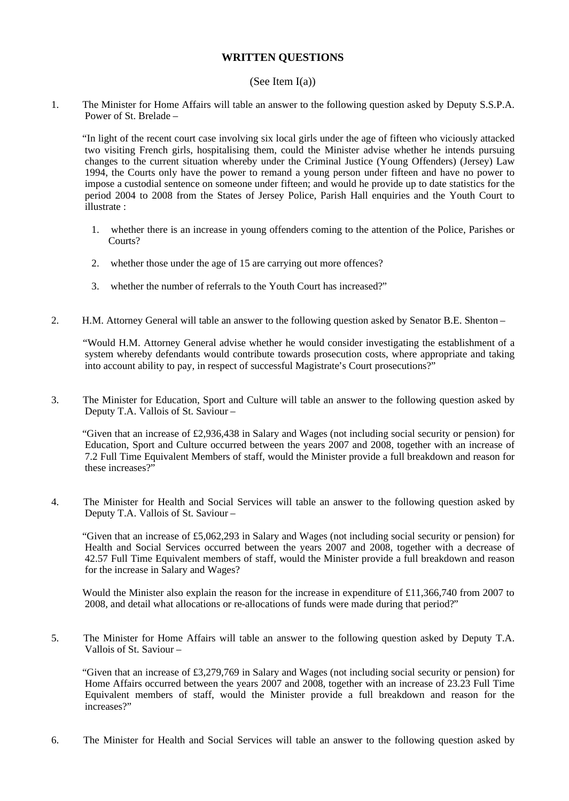## **WRITTEN QUESTIONS**

#### (See Item I(a))

1. The Minister for Home Affairs will table an answer to the following question asked by Deputy S.S.P.A. Power of St. Brelade –

 "In light of the recent court case involving six local girls under the age of fifteen who viciously attacked two visiting French girls, hospitalising them, could the Minister advise whether he intends pursuing changes to the current situation whereby under the Criminal Justice (Young Offenders) (Jersey) Law 1994, the Courts only have the power to remand a young person under fifteen and have no power to impose a custodial sentence on someone under fifteen; and would he provide up to date statistics for the period 2004 to 2008 from the States of Jersey Police, Parish Hall enquiries and the Youth Court to illustrate :

- 1. whether there is an increase in young offenders coming to the attention of the Police, Parishes or Courts?
- 2. whether those under the age of 15 are carrying out more offences?
- 3. whether the number of referrals to the Youth Court has increased?"
- 2. H.M. Attorney General will table an answer to the following question asked by Senator B.E. Shenton –

 "Would H.M. Attorney General advise whether he would consider investigating the establishment of a system whereby defendants would contribute towards prosecution costs, where appropriate and taking into account ability to pay, in respect of successful Magistrate's Court prosecutions?"

3. The Minister for Education, Sport and Culture will table an answer to the following question asked by Deputy T.A. Vallois of St. Saviour –

 "Given that an increase of £2,936,438 in Salary and Wages (not including social security or pension) for Education, Sport and Culture occurred between the years 2007 and 2008, together with an increase of 7.2 Full Time Equivalent Members of staff, would the Minister provide a full breakdown and reason for these increases?"

4. The Minister for Health and Social Services will table an answer to the following question asked by Deputy T.A. Vallois of St. Saviour –

 "Given that an increase of £5,062,293 in Salary and Wages (not including social security or pension) for Health and Social Services occurred between the years 2007 and 2008, together with a decrease of 42.57 Full Time Equivalent members of staff, would the Minister provide a full breakdown and reason for the increase in Salary and Wages?

 Would the Minister also explain the reason for the increase in expenditure of £11,366,740 from 2007 to 2008, and detail what allocations or re-allocations of funds were made during that period?"

5. The Minister for Home Affairs will table an answer to the following question asked by Deputy T.A. Vallois of St. Saviour –

 "Given that an increase of £3,279,769 in Salary and Wages (not including social security or pension) for Home Affairs occurred between the years 2007 and 2008, together with an increase of 23.23 Full Time Equivalent members of staff, would the Minister provide a full breakdown and reason for the increases?"

6. The Minister for Health and Social Services will table an answer to the following question asked by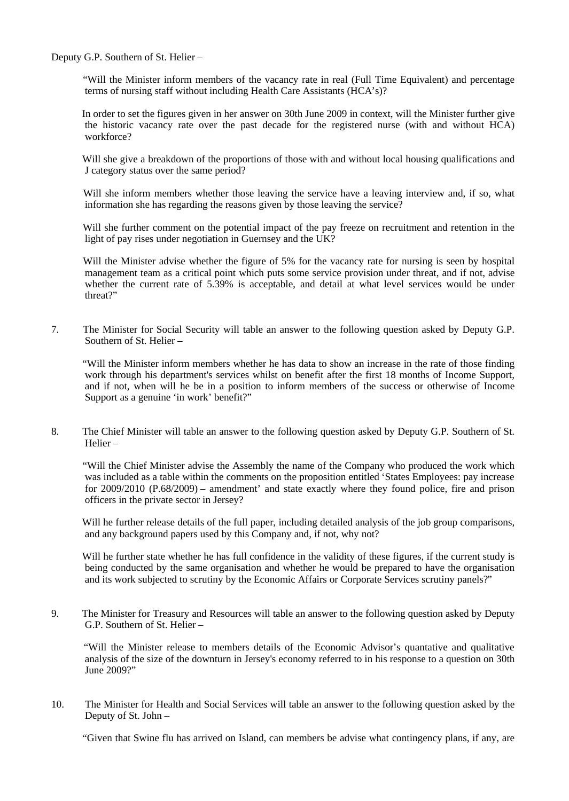Deputy G.P. Southern of St. Helier –

 "Will the Minister inform members of the vacancy rate in real (Full Time Equivalent) and percentage terms of nursing staff without including Health Care Assistants (HCA's)?

 In order to set the figures given in her answer on 30th June 2009 in context, will the Minister further give the historic vacancy rate over the past decade for the registered nurse (with and without HCA) workforce?

Will she give a breakdown of the proportions of those with and without local housing qualifications and J category status over the same period?

Will she inform members whether those leaving the service have a leaving interview and, if so, what information she has regarding the reasons given by those leaving the service?

 Will she further comment on the potential impact of the pay freeze on recruitment and retention in the light of pay rises under negotiation in Guernsey and the UK?

 Will the Minister advise whether the figure of 5% for the vacancy rate for nursing is seen by hospital management team as a critical point which puts some service provision under threat, and if not, advise whether the current rate of 5.39% is acceptable, and detail at what level services would be under threat?"

7. The Minister for Social Security will table an answer to the following question asked by Deputy G.P. Southern of St. Helier –

 "Will the Minister inform members whether he has data to show an increase in the rate of those finding work through his department's services whilst on benefit after the first 18 months of Income Support, and if not, when will he be in a position to inform members of the success or otherwise of Income Support as a genuine 'in work' benefit?"

8. The Chief Minister will table an answer to the following question asked by Deputy G.P. Southern of St. Helier –

 "Will the Chief Minister advise the Assembly the name of the Company who produced the work which was included as a table within the comments on the proposition entitled 'States Employees: pay increase for 2009/2010 (P.68/2009) – amendment' and state exactly where they found police, fire and prison officers in the private sector in Jersey?

 Will he further release details of the full paper, including detailed analysis of the job group comparisons, and any background papers used by this Company and, if not, why not?

 Will he further state whether he has full confidence in the validity of these figures, if the current study is being conducted by the same organisation and whether he would be prepared to have the organisation and its work subjected to scrutiny by the Economic Affairs or Corporate Services scrutiny panels?"

9. The Minister for Treasury and Resources will table an answer to the following question asked by Deputy G.P. Southern of St. Helier –

 "Will the Minister release to members details of the Economic Advisor's quantative and qualitative analysis of the size of the downturn in Jersey's economy referred to in his response to a question on 30th June 2009?"

10. The Minister for Health and Social Services will table an answer to the following question asked by the Deputy of St. John –

"Given that Swine flu has arrived on Island, can members be advise what contingency plans, if any, are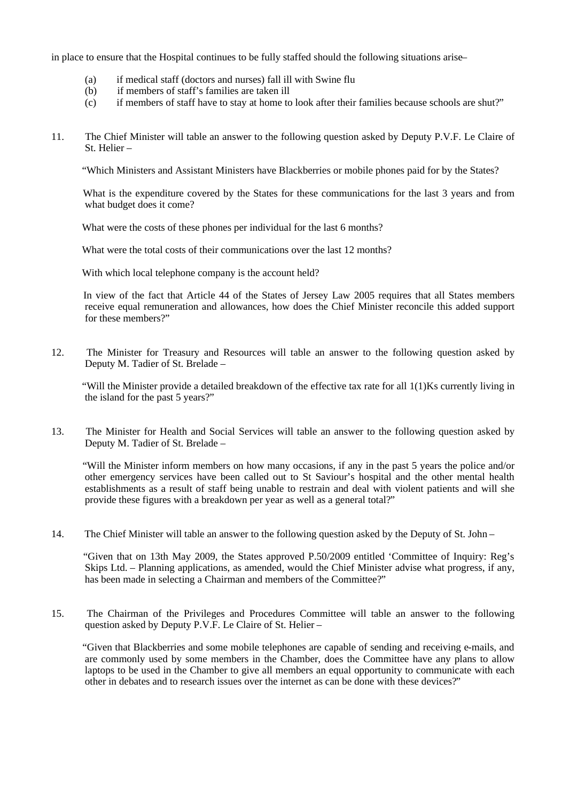in place to ensure that the Hospital continues to be fully staffed should the following situations arise–

- (a) if medical staff (doctors and nurses) fall ill with Swine flu
- (b) if members of staff's families are taken ill
- (c) if members of staff have to stay at home to look after their families because schools are shut?"
- 11. The Chief Minister will table an answer to the following question asked by Deputy P.V.F. Le Claire of St. Helier –

"Which Ministers and Assistant Ministers have Blackberries or mobile phones paid for by the States?

 What is the expenditure covered by the States for these communications for the last 3 years and from what budget does it come?

What were the costs of these phones per individual for the last 6 months?

What were the total costs of their communications over the last 12 months?

With which local telephone company is the account held?

 In view of the fact that Article 44 of the States of Jersey Law 2005 requires that all States members receive equal remuneration and allowances, how does the Chief Minister reconcile this added support for these members?"

12. The Minister for Treasury and Resources will table an answer to the following question asked by Deputy M. Tadier of St. Brelade –

 "Will the Minister provide a detailed breakdown of the effective tax rate for all 1(1)Ks currently living in the island for the past 5 years?"

13. The Minister for Health and Social Services will table an answer to the following question asked by Deputy M. Tadier of St. Brelade –

 "Will the Minister inform members on how many occasions, if any in the past 5 years the police and/or other emergency services have been called out to St Saviour's hospital and the other mental health establishments as a result of staff being unable to restrain and deal with violent patients and will she provide these figures with a breakdown per year as well as a general total?"

14. The Chief Minister will table an answer to the following question asked by the Deputy of St. John –

 "Given that on 13th May 2009, the States approved P.50/2009 entitled 'Committee of Inquiry: Reg's Skips Ltd. – Planning applications, as amended, would the Chief Minister advise what progress, if any, has been made in selecting a Chairman and members of the Committee?"

15. The Chairman of the Privileges and Procedures Committee will table an answer to the following question asked by Deputy P.V.F. Le Claire of St. Helier –

 "Given that Blackberries and some mobile telephones are capable of sending and receiving e-mails, and are commonly used by some members in the Chamber, does the Committee have any plans to allow laptops to be used in the Chamber to give all members an equal opportunity to communicate with each other in debates and to research issues over the internet as can be done with these devices?"